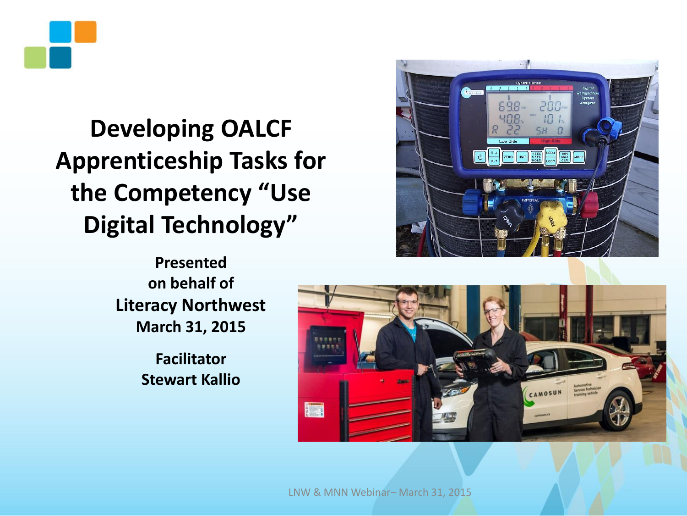

## **Developing OALCF Apprenticeship Tasks for the Competency "Use Digital Technology"**



**Presented on behalf of Literacy Northwest March 31, 2015** 

> **Facilitator Stewart Kallio**



LNW & MNN Webinar– March 31, 2015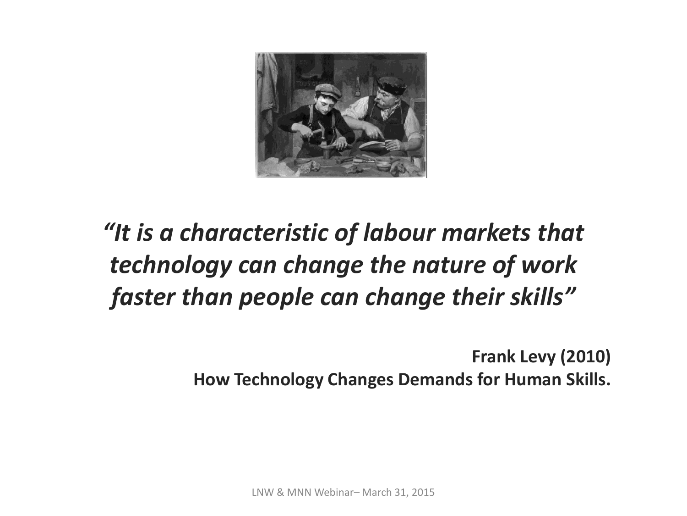

## *"It is a characteristic of labour markets that technology can change the nature of work faster than people can change their skills"*

**Frank Levy (2010) How Technology Changes Demands for Human Skills.**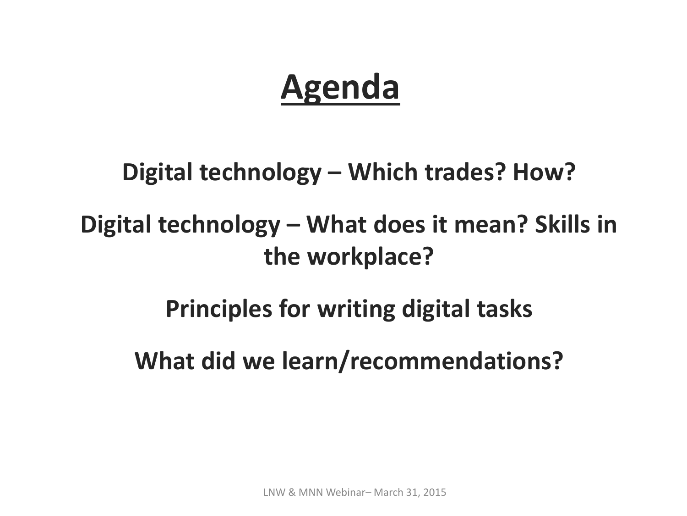# **Agenda**

### **Digital technology – Which trades? How?**

## **Digital technology – What does it mean? Skills in the workplace?**

## **Principles for writing digital tasks**

## **What did we learn/recommendations?**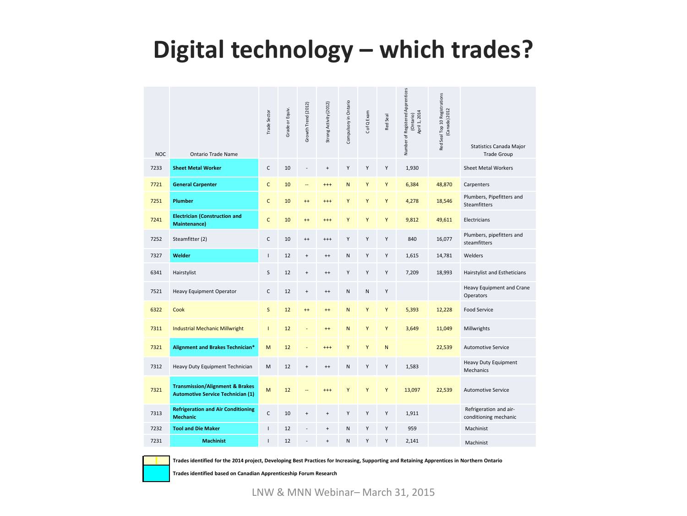### **Digital technology – which trades?**

| <b>NOC</b> | Ontario Trade Name                                                                     | Trade Sector   | Grade or Equiv. | Growth Trend (2012)              | Strong Activity (2012)           | Compulsory in Ontario | C of Q Exam | Red Seal  | Number of Registered Apprentices<br>April 1, 2014<br>(Ontario) | Red Seal Top 10 Registrations<br>(Canada) 2012 | Statistics Canada Major<br><b>Trade Group</b>    |
|------------|----------------------------------------------------------------------------------------|----------------|-----------------|----------------------------------|----------------------------------|-----------------------|-------------|-----------|----------------------------------------------------------------|------------------------------------------------|--------------------------------------------------|
| 7233       | <b>Sheet Metal Worker</b>                                                              | C              | 10              |                                  | $\begin{array}{c} + \end{array}$ | Υ                     | Υ           | Υ         | 1,930                                                          |                                                | <b>Sheet Metal Workers</b>                       |
| 7721       | <b>General Carpenter</b>                                                               | $\mathsf{C}$   | 10              |                                  | $^{+++}$                         | N                     | Υ           | Υ         | 6,384                                                          | 48,870                                         | Carpenters                                       |
| 7251       | Plumber                                                                                | C              | 10              | $++$                             | $^{++}$                          | Υ                     | Υ           | Υ         | 4,278                                                          | 18,546                                         | Plumbers, Pipefitters and<br><b>Steamfitters</b> |
| 7241       | <b>Electrician (Construction and</b><br><b>Maintenance)</b>                            | $\mathsf{C}$   | 10              | $++$                             | $+++$                            | Y                     | Y           | Y         | 9,812                                                          | 49,611                                         | Electricians                                     |
| 7252       | Steamfitter (2)                                                                        | C              | 10              | $^{++}$                          | $^{+++}$                         | Y                     | Y           | Y         | 840                                                            | 16,077                                         | Plumbers, pipefitters and<br>steamfitters        |
| 7327       | Welder                                                                                 | $\mathbf{I}$   | 12              | $\begin{array}{c} + \end{array}$ | $^{++}$                          | ${\sf N}$             | Υ           | Υ         | 1,615                                                          | 14,781                                         | Welders                                          |
| 6341       | Hairstylist                                                                            | $\sf S$        | 12              | $\begin{array}{c} + \end{array}$ | $^{++}$                          | Y                     | Υ           | Υ         | 7,209                                                          | 18,993                                         | Hairstylist and Estheticians                     |
| 7521       | <b>Heavy Equipment Operator</b>                                                        | C              | 12              | $\begin{array}{c} + \end{array}$ | $^{++}$                          | N                     | N           | Υ         |                                                                |                                                | Heavy Equipment and Crane<br>Operators           |
| 6322       | Cook                                                                                   | $\mathsf{S}$   | 12              | $++$                             | $++$                             | ${\sf N}$             | Υ           | Υ         | 5,393                                                          | 12,228                                         | <b>Food Service</b>                              |
| 7311       | <b>Industrial Mechanic Millwright</b>                                                  | $\overline{1}$ | 12              |                                  | $++$                             | ${\sf N}$             | Υ           | Υ         | 3,649                                                          | 11,049                                         | Millwrights                                      |
| 7321       | Alignment and Brakes Technician*                                                       | M              | 12              |                                  | $^{+++}$                         | Y                     | Y           | ${\sf N}$ |                                                                | 22,539                                         | <b>Automotive Service</b>                        |
| 7312       | Heavy Duty Equipment Technician                                                        | M              | 12              | $\begin{array}{c} + \end{array}$ | $^{++}$                          | N                     | Υ           | Υ         | 1,583                                                          |                                                | Heavy Duty Equipment<br>Mechanics                |
| 7321       | <b>Transmission/Alignment &amp; Brakes</b><br><b>Automotive Service Technician (1)</b> | M              | 12              |                                  | $^{++}$                          | Y                     | Y           | Y         | 13,097                                                         | 22,539                                         | <b>Automotive Service</b>                        |
| 7313       | <b>Refrigeration and Air Conditioning</b><br><b>Mechanic</b>                           | C              | 10              | $\ddot{}$                        | $\ddot{}$                        | Y                     | Y           | Y         | 1,911                                                          |                                                | Refrigeration and air-<br>conditioning mechanic  |
| 7232       | <b>Tool and Die Maker</b>                                                              | $\mathbf{I}$   | 12              |                                  | $\ddot{}$                        | N                     | Υ           | Υ         | 959                                                            |                                                | Machinist                                        |
| 7231       | <b>Machinist</b>                                                                       | $\overline{1}$ | 12              |                                  | $\ddot{}$                        | N                     | Y           | Y         | 2,141                                                          |                                                | Machinist                                        |



**Trades identified for the 2014 project, Developing Best Practices for Increasing, Supporting and Retaining Apprentices in Northern Ontario**

**Trades identified based on Canadian Apprenticeship Forum Research**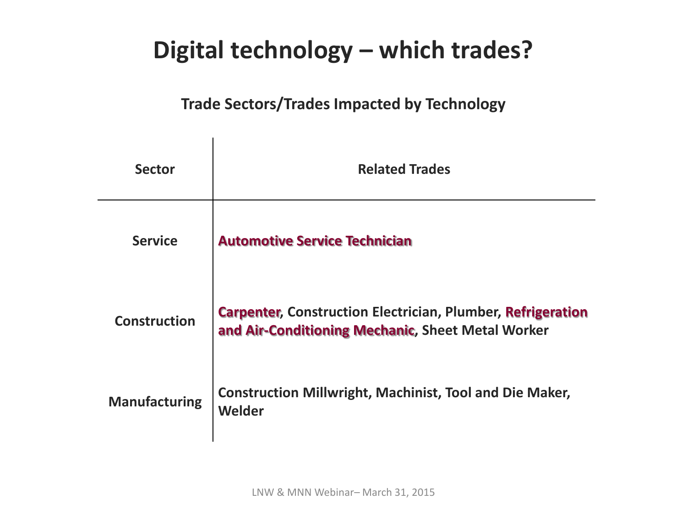## **Digital technology – which trades?**

#### **Trade Sectors/Trades Impacted by Technology**

| <b>Sector</b>        | <b>Related Trades</b>                                                                                                   |
|----------------------|-------------------------------------------------------------------------------------------------------------------------|
| <b>Service</b>       | <b>Automotive Service Technician</b>                                                                                    |
| <b>Construction</b>  | <b>Carpenter, Construction Electrician, Plumber, Refrigeration</b><br>and Air-Conditioning Mechanic, Sheet Metal Worker |
| <b>Manufacturing</b> | <b>Construction Millwright, Machinist, Tool and Die Maker,</b><br>Welder                                                |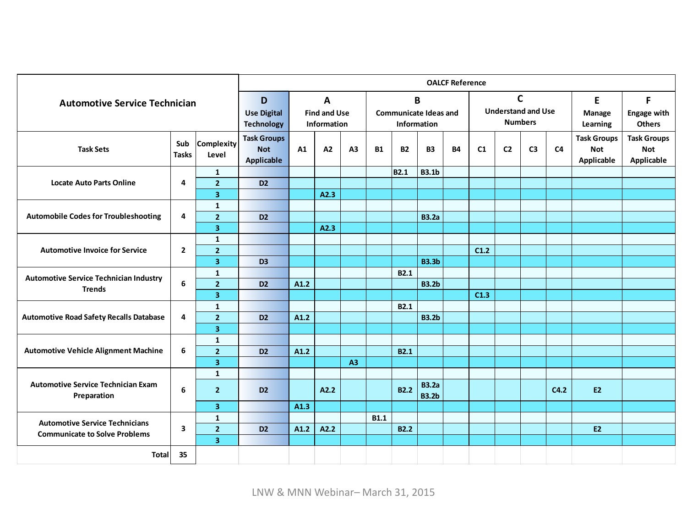|                                                          | <b>OALCF Reference</b>                  |                                           |                                                       |                                             |      |                |                                             |             |                              |           |                    |                                     |                |      |                                                |                                                |
|----------------------------------------------------------|-----------------------------------------|-------------------------------------------|-------------------------------------------------------|---------------------------------------------|------|----------------|---------------------------------------------|-------------|------------------------------|-----------|--------------------|-------------------------------------|----------------|------|------------------------------------------------|------------------------------------------------|
| <b>Automotive Service Technician</b>                     |                                         |                                           | D                                                     |                                             | A    |                |                                             | B           |                              |           | $\mathsf{C}$       |                                     |                |      | E                                              | F                                              |
|                                                          | <b>Use Digital</b><br><b>Technology</b> | <b>Find and Use</b><br>Information        |                                                       | <b>Communicate Ideas and</b><br>Information |      |                | <b>Understand and Use</b><br><b>Numbers</b> |             |                              |           | Manage<br>Learning | <b>Engage with</b><br><b>Others</b> |                |      |                                                |                                                |
| <b>Task Sets</b>                                         | Sub<br><b>Tasks</b>                     | Complexity<br>Level                       | <b>Task Groups</b><br><b>Not</b><br><b>Applicable</b> | A1                                          | A2   | A <sub>3</sub> | <b>B1</b>                                   | <b>B2</b>   | <b>B3</b>                    | <b>B4</b> | C1                 | C <sub>2</sub>                      | C <sub>3</sub> | C4   | <b>Task Groups</b><br><b>Not</b><br>Applicable | <b>Task Groups</b><br><b>Not</b><br>Applicable |
|                                                          |                                         | $\mathbf{1}$                              |                                                       |                                             |      |                |                                             | <b>B2.1</b> | <b>B3.1b</b>                 |           |                    |                                     |                |      |                                                |                                                |
| <b>Locate Auto Parts Online</b>                          | 4                                       | 2 <sup>1</sup>                            | D <sub>2</sub>                                        |                                             |      |                |                                             |             |                              |           |                    |                                     |                |      |                                                |                                                |
|                                                          |                                         | $\overline{\mathbf{3}}$                   |                                                       |                                             | A2.3 |                |                                             |             |                              |           |                    |                                     |                |      |                                                |                                                |
|                                                          |                                         | $\mathbf{1}$                              |                                                       |                                             |      |                |                                             |             |                              |           |                    |                                     |                |      |                                                |                                                |
| <b>Automobile Codes for Troubleshooting</b>              | 4                                       | 2 <sup>1</sup>                            | D <sub>2</sub>                                        |                                             |      |                |                                             |             | <b>B3.2a</b>                 |           |                    |                                     |                |      |                                                |                                                |
|                                                          |                                         | $\overline{\mathbf{3}}$                   |                                                       |                                             | A2.3 |                |                                             |             |                              |           |                    |                                     |                |      |                                                |                                                |
| <b>Automotive Invoice for Service</b>                    | $\mathbf{2}$                            | $\mathbf{1}$                              |                                                       |                                             |      |                |                                             |             |                              |           |                    |                                     |                |      |                                                |                                                |
|                                                          |                                         | $\overline{2}$<br>$\overline{\mathbf{3}}$ |                                                       |                                             |      |                |                                             |             | <b>B3.3b</b>                 |           | C1.2               |                                     |                |      |                                                |                                                |
|                                                          |                                         | $\mathbf{1}$                              | D <sub>3</sub>                                        |                                             |      |                |                                             | <b>B2.1</b> |                              |           |                    |                                     |                |      |                                                |                                                |
| <b>Automotive Service Technician Industry</b>            | 6                                       | 2 <sup>1</sup>                            | D <sub>2</sub>                                        | A1.2                                        |      |                |                                             |             | <b>B3.2b</b>                 |           |                    |                                     |                |      |                                                |                                                |
| <b>Trends</b>                                            |                                         | 3 <sup>1</sup>                            |                                                       |                                             |      |                |                                             |             |                              |           | C1.3               |                                     |                |      |                                                |                                                |
|                                                          |                                         | $\mathbf{1}$                              |                                                       |                                             |      |                |                                             | <b>B2.1</b> |                              |           |                    |                                     |                |      |                                                |                                                |
| <b>Automotive Road Safety Recalls Database</b>           | 4                                       | 2 <sup>1</sup>                            | D <sub>2</sub>                                        | A1.2                                        |      |                |                                             |             | <b>B3.2b</b>                 |           |                    |                                     |                |      |                                                |                                                |
|                                                          |                                         | $\overline{\mathbf{3}}$                   |                                                       |                                             |      |                |                                             |             |                              |           |                    |                                     |                |      |                                                |                                                |
|                                                          |                                         | $\mathbf{1}$                              |                                                       |                                             |      |                |                                             |             |                              |           |                    |                                     |                |      |                                                |                                                |
| <b>Automotive Vehicle Alignment Machine</b>              | 6                                       | 2 <sup>1</sup>                            | D <sub>2</sub>                                        | A1.2                                        |      |                |                                             | <b>B2.1</b> |                              |           |                    |                                     |                |      |                                                |                                                |
|                                                          |                                         | $\overline{\mathbf{3}}$                   |                                                       |                                             |      | A3             |                                             |             |                              |           |                    |                                     |                |      |                                                |                                                |
|                                                          |                                         | $\mathbf{1}$                              |                                                       |                                             |      |                |                                             |             |                              |           |                    |                                     |                |      |                                                |                                                |
| <b>Automotive Service Technician Exam</b><br>Preparation | 6                                       | 2 <sup>1</sup>                            | D <sub>2</sub>                                        |                                             | A2.2 |                |                                             | <b>B2.2</b> | <b>B3.2a</b><br><b>B3.2b</b> |           |                    |                                     |                | C4.2 | <b>E2</b>                                      |                                                |
|                                                          |                                         | 3 <sup>1</sup>                            |                                                       | A1.3                                        |      |                |                                             |             |                              |           |                    |                                     |                |      |                                                |                                                |
| <b>Automotive Service Technicians</b>                    |                                         | $\mathbf{1}$                              |                                                       |                                             |      |                | <b>B1.1</b>                                 |             |                              |           |                    |                                     |                |      |                                                |                                                |
| <b>Communicate to Solve Problems</b>                     | 3                                       | $\overline{2}$                            | D <sub>2</sub>                                        | A1.2                                        | A2.2 |                |                                             | <b>B2.2</b> |                              |           |                    |                                     |                |      | <b>E2</b>                                      |                                                |
|                                                          |                                         | $\overline{\mathbf{3}}$                   |                                                       |                                             |      |                |                                             |             |                              |           |                    |                                     |                |      |                                                |                                                |
| <b>Total</b>                                             | 35                                      |                                           |                                                       |                                             |      |                |                                             |             |                              |           |                    |                                     |                |      |                                                |                                                |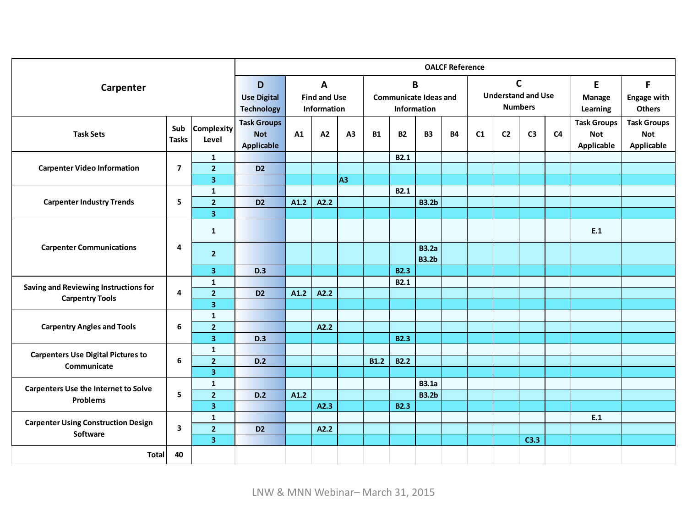|                                             |                                                                                         |                                         | <b>OALCF Reference</b>                                |                                                  |      |                |                                                             |             |                              |           |                         |                                           |                |                |                                                |                                                |
|---------------------------------------------|-----------------------------------------------------------------------------------------|-----------------------------------------|-------------------------------------------------------|--------------------------------------------------|------|----------------|-------------------------------------------------------------|-------------|------------------------------|-----------|-------------------------|-------------------------------------------|----------------|----------------|------------------------------------------------|------------------------------------------------|
| Carpenter                                   | A<br>D<br><b>Find and Use</b><br><b>Use Digital</b><br><b>Technology</b><br>Information |                                         |                                                       | B<br><b>Communicate Ideas and</b><br>Information |      |                | $\mathsf{C}$<br><b>Understand and Use</b><br><b>Numbers</b> |             |                              |           | E<br>Manage<br>Learning | F.<br><b>Engage with</b><br><b>Others</b> |                |                |                                                |                                                |
| <b>Task Sets</b>                            | Sub<br><b>Tasks</b>                                                                     | <b>Complexity</b><br>Level              | <b>Task Groups</b><br><b>Not</b><br><b>Applicable</b> | A1                                               | A2   | A <sub>3</sub> | <b>B1</b>                                                   | <b>B2</b>   | <b>B3</b>                    | <b>B4</b> | C <sub>1</sub>          | C <sub>2</sub>                            | C <sub>3</sub> | C <sub>4</sub> | <b>Task Groups</b><br><b>Not</b><br>Applicable | <b>Task Groups</b><br><b>Not</b><br>Applicable |
| <b>Carpenter Video Information</b>          | $\overline{7}$                                                                          | $\mathbf{1}$<br>$\overline{2}$          | D <sub>2</sub>                                        |                                                  |      |                |                                                             | <b>B2.1</b> |                              |           |                         |                                           |                |                |                                                |                                                |
|                                             |                                                                                         | $\overline{\mathbf{3}}$                 |                                                       |                                                  |      | A <sub>3</sub> |                                                             |             |                              |           |                         |                                           |                |                |                                                |                                                |
|                                             |                                                                                         | $\mathbf{1}$                            |                                                       |                                                  |      |                |                                                             | B2.1        |                              |           |                         |                                           |                |                |                                                |                                                |
| <b>Carpenter Industry Trends</b>            | 5                                                                                       | $\overline{2}$                          | D <sub>2</sub>                                        | A1.2                                             | A2.2 |                |                                                             |             | <b>B3.2b</b>                 |           |                         |                                           |                |                |                                                |                                                |
|                                             |                                                                                         | 3                                       |                                                       |                                                  |      |                |                                                             |             |                              |           |                         |                                           |                |                |                                                |                                                |
|                                             |                                                                                         | $\mathbf{1}$                            |                                                       |                                                  |      |                |                                                             |             |                              |           |                         |                                           |                |                | E.1                                            |                                                |
| <b>Carpenter Communications</b>             | 4                                                                                       | $\overline{2}$                          |                                                       |                                                  |      |                |                                                             |             | <b>B3.2a</b><br><b>B3.2b</b> |           |                         |                                           |                |                |                                                |                                                |
|                                             |                                                                                         | $\overline{\mathbf{3}}$                 | D.3                                                   |                                                  |      |                |                                                             | <b>B2.3</b> |                              |           |                         |                                           |                |                |                                                |                                                |
| Saving and Reviewing Instructions for       |                                                                                         | 1                                       |                                                       |                                                  |      |                |                                                             | <b>B2.1</b> |                              |           |                         |                                           |                |                |                                                |                                                |
| <b>Carpentry Tools</b>                      | 4                                                                                       | $\overline{2}$                          | D <sub>2</sub>                                        | A1.2                                             | A2.2 |                |                                                             |             |                              |           |                         |                                           |                |                |                                                |                                                |
|                                             |                                                                                         | 3                                       |                                                       |                                                  |      |                |                                                             |             |                              |           |                         |                                           |                |                |                                                |                                                |
|                                             |                                                                                         | $\mathbf{1}$                            |                                                       |                                                  |      |                |                                                             |             |                              |           |                         |                                           |                |                |                                                |                                                |
| <b>Carpentry Angles and Tools</b>           | 6                                                                                       | $\overline{2}$                          |                                                       |                                                  | A2.2 |                |                                                             |             |                              |           |                         |                                           |                |                |                                                |                                                |
|                                             |                                                                                         | 3                                       | D.3                                                   |                                                  |      |                |                                                             | <b>B2.3</b> |                              |           |                         |                                           |                |                |                                                |                                                |
| <b>Carpenters Use Digital Pictures to</b>   |                                                                                         | $\mathbf{1}$                            |                                                       |                                                  |      |                |                                                             |             |                              |           |                         |                                           |                |                |                                                |                                                |
| Communicate                                 | 6                                                                                       | $\overline{2}$<br>3                     | D.2                                                   |                                                  |      |                | <b>B1.2</b>                                                 | <b>B2.2</b> |                              |           |                         |                                           |                |                |                                                |                                                |
|                                             |                                                                                         |                                         |                                                       |                                                  |      |                |                                                             |             | <b>B3.1a</b>                 |           |                         |                                           |                |                |                                                |                                                |
| <b>Carpenters Use the Internet to Solve</b> | 5                                                                                       | $\mathbf{1}$<br>$\overline{\mathbf{2}}$ | D.2                                                   | A1.2                                             |      |                |                                                             |             | <b>B3.2b</b>                 |           |                         |                                           |                |                |                                                |                                                |
| <b>Problems</b>                             |                                                                                         | $\overline{\mathbf{3}}$                 |                                                       |                                                  | A2.3 |                |                                                             | <b>B2.3</b> |                              |           |                         |                                           |                |                |                                                |                                                |
|                                             |                                                                                         | 1                                       |                                                       |                                                  |      |                |                                                             |             |                              |           |                         |                                           |                |                | E.1                                            |                                                |
| <b>Carpenter Using Construction Design</b>  | $\overline{\mathbf{3}}$                                                                 | $\overline{2}$                          | D <sub>2</sub>                                        |                                                  | A2.2 |                |                                                             |             |                              |           |                         |                                           |                |                |                                                |                                                |
| Software                                    |                                                                                         | $\overline{\mathbf{3}}$                 |                                                       |                                                  |      |                |                                                             |             |                              |           |                         |                                           | C3.3           |                |                                                |                                                |
| <b>Total</b>                                | 40                                                                                      |                                         |                                                       |                                                  |      |                |                                                             |             |                              |           |                         |                                           |                |                |                                                |                                                |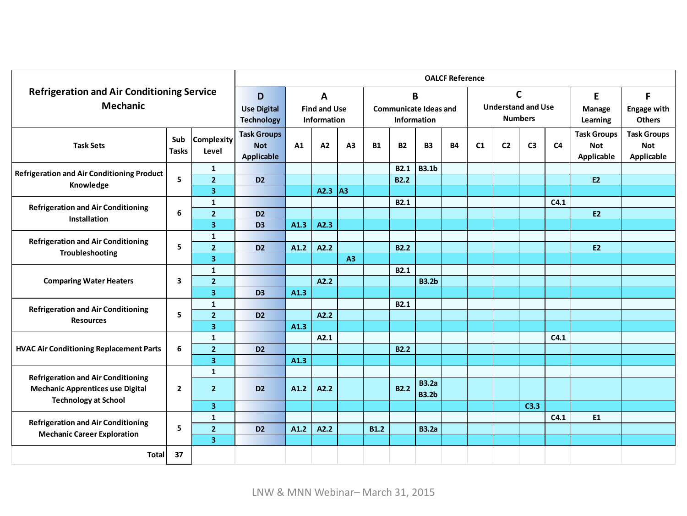| <b>Refrigeration and Air Conditioning Service</b><br><b>Mechanic</b>   |                |                     | <b>OALCF Reference</b>                                                                         |      |      |                                                         |             |             |                                                             |           |    |                |                         |                                          |                                                |                                                |
|------------------------------------------------------------------------|----------------|---------------------|------------------------------------------------------------------------------------------------|------|------|---------------------------------------------------------|-------------|-------------|-------------------------------------------------------------|-----------|----|----------------|-------------------------|------------------------------------------|------------------------------------------------|------------------------------------------------|
|                                                                        |                |                     | D<br>A<br><b>Use Digital</b><br><b>Find and Use</b><br><b>Technology</b><br><b>Information</b> |      |      | B<br><b>Communicate Ideas and</b><br><b>Information</b> |             |             | $\mathsf{C}$<br><b>Understand and Use</b><br><b>Numbers</b> |           |    |                | E<br>Manage<br>Learning | F<br><b>Engage with</b><br><b>Others</b> |                                                |                                                |
| <b>Task Sets</b>                                                       | Sub<br>Tasks   | Complexity<br>Level | <b>Task Groups</b><br><b>Not</b><br>Applicable                                                 | A1   | A2   | A3                                                      | <b>B1</b>   | <b>B2</b>   | <b>B3</b>                                                   | <b>B4</b> | C1 | C <sub>2</sub> | C <sub>3</sub>          | C <sub>4</sub>                           | <b>Task Groups</b><br><b>Not</b><br>Applicable | <b>Task Groups</b><br><b>Not</b><br>Applicable |
| Refrigeration and Air Conditioning Product                             |                | $\mathbf{1}$        |                                                                                                |      |      |                                                         |             | <b>B2.1</b> | <b>B3.1b</b>                                                |           |    |                |                         |                                          |                                                |                                                |
| Knowledge                                                              | 5              | $\overline{2}$      | D <sub>2</sub>                                                                                 |      |      |                                                         |             | <b>B2.2</b> |                                                             |           |    |                |                         |                                          | <b>E2</b>                                      |                                                |
|                                                                        |                | 3                   |                                                                                                |      | A2.3 | lА3                                                     |             |             |                                                             |           |    |                |                         |                                          |                                                |                                                |
| <b>Refrigeration and Air Conditioning</b>                              |                | 1                   |                                                                                                |      |      |                                                         |             | <b>B2.1</b> |                                                             |           |    |                |                         | C4.1                                     |                                                |                                                |
| Installation                                                           | 6              | $\overline{2}$      | D <sub>2</sub>                                                                                 |      |      |                                                         |             |             |                                                             |           |    |                |                         |                                          | <b>E2</b>                                      |                                                |
|                                                                        |                | 3                   | D <sub>3</sub>                                                                                 | A1.3 | A2.3 |                                                         |             |             |                                                             |           |    |                |                         |                                          |                                                |                                                |
| <b>Refrigeration and Air Conditioning</b><br>Troubleshooting           |                | $\mathbf{1}$        |                                                                                                |      |      |                                                         |             |             |                                                             |           |    |                |                         |                                          |                                                |                                                |
|                                                                        | 5              | $\overline{2}$      | D <sub>2</sub>                                                                                 | A1.2 | A2.2 |                                                         |             | <b>B2.2</b> |                                                             |           |    |                |                         |                                          | E2                                             |                                                |
|                                                                        |                | 3                   |                                                                                                |      |      | A3                                                      |             |             |                                                             |           |    |                |                         |                                          |                                                |                                                |
|                                                                        |                | $\mathbf{1}$        |                                                                                                |      |      |                                                         |             | <b>B2.1</b> |                                                             |           |    |                |                         |                                          |                                                |                                                |
| <b>Comparing Water Heaters</b>                                         | 3              | $\overline{2}$      |                                                                                                |      | A2.2 |                                                         |             |             | <b>B3.2b</b>                                                |           |    |                |                         |                                          |                                                |                                                |
|                                                                        |                | 3                   | D <sub>3</sub>                                                                                 | A1.3 |      |                                                         |             |             |                                                             |           |    |                |                         |                                          |                                                |                                                |
| <b>Refrigeration and Air Conditioning</b>                              |                | $\mathbf{1}$        |                                                                                                |      |      |                                                         |             | <b>B2.1</b> |                                                             |           |    |                |                         |                                          |                                                |                                                |
| <b>Resources</b>                                                       | 5              | $\overline{2}$      | D <sub>2</sub>                                                                                 |      | A2.2 |                                                         |             |             |                                                             |           |    |                |                         |                                          |                                                |                                                |
|                                                                        |                | 3                   |                                                                                                | A1.3 |      |                                                         |             |             |                                                             |           |    |                |                         |                                          |                                                |                                                |
|                                                                        |                | $\mathbf{1}$        |                                                                                                |      | A2.1 |                                                         |             |             |                                                             |           |    |                |                         | C4.1                                     |                                                |                                                |
| <b>HVAC Air Conditioning Replacement Parts</b>                         | 6              | $\overline{2}$      | D <sub>2</sub>                                                                                 |      |      |                                                         |             | <b>B2.2</b> |                                                             |           |    |                |                         |                                          |                                                |                                                |
|                                                                        |                | 3                   |                                                                                                | A1.3 |      |                                                         |             |             |                                                             |           |    |                |                         |                                          |                                                |                                                |
| <b>Refrigeration and Air Conditioning</b>                              |                | 1                   |                                                                                                |      |      |                                                         |             |             |                                                             |           |    |                |                         |                                          |                                                |                                                |
| <b>Mechanic Apprentices use Digital</b><br><b>Technology at School</b> | $\overline{2}$ | $\overline{2}$      | D <sub>2</sub>                                                                                 | A1.2 | A2.2 |                                                         |             | <b>B2.2</b> | <b>B3.2a</b><br><b>B3.2b</b>                                |           |    |                |                         |                                          |                                                |                                                |
|                                                                        |                | 3                   |                                                                                                |      |      |                                                         |             |             |                                                             |           |    |                | C3.3                    |                                          |                                                |                                                |
| <b>Refrigeration and Air Conditioning</b>                              |                | $\mathbf{1}$        |                                                                                                |      |      |                                                         |             |             |                                                             |           |    |                |                         | C4.1                                     | E1                                             |                                                |
| <b>Mechanic Career Exploration</b>                                     | 5              | $\overline{2}$      | D <sub>2</sub>                                                                                 | A1.2 | A2.2 |                                                         | <b>B1.2</b> |             | <b>B3.2a</b>                                                |           |    |                |                         |                                          |                                                |                                                |
|                                                                        |                | 3                   |                                                                                                |      |      |                                                         |             |             |                                                             |           |    |                |                         |                                          |                                                |                                                |
| <b>Total</b>                                                           | 37             |                     |                                                                                                |      |      |                                                         |             |             |                                                             |           |    |                |                         |                                          |                                                |                                                |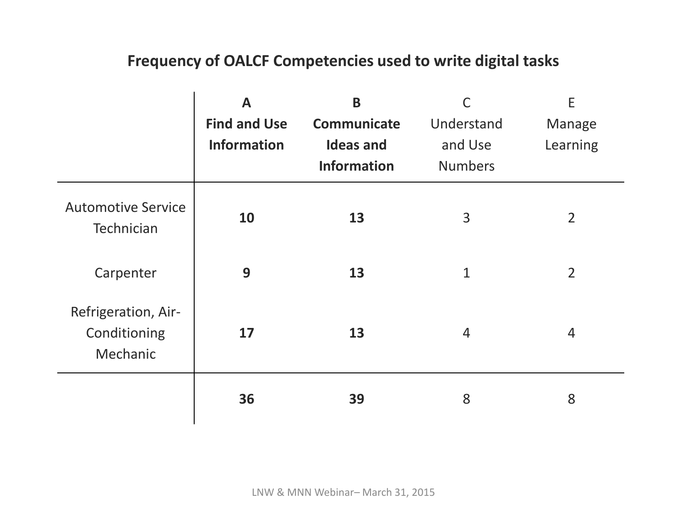### **Frequency of OALCF Competencies used to write digital tasks**

|                                                 | $\mathbf{A}$<br><b>Find and Use</b><br><b>Information</b> | B<br>Communicate<br><b>Ideas and</b><br><b>Information</b> | Understand<br>and Use<br><b>Numbers</b> | E<br>Manage<br>Learning |
|-------------------------------------------------|-----------------------------------------------------------|------------------------------------------------------------|-----------------------------------------|-------------------------|
| <b>Automotive Service</b><br>Technician         | 10                                                        | 13                                                         | 3                                       | $\overline{2}$          |
| Carpenter                                       | 9                                                         | 13                                                         | $\mathbf{1}$                            | $\overline{2}$          |
| Refrigeration, Air-<br>Conditioning<br>Mechanic | 17                                                        | 13                                                         | $\overline{4}$                          | 4                       |
|                                                 | 36                                                        | 39                                                         | 8                                       | 8                       |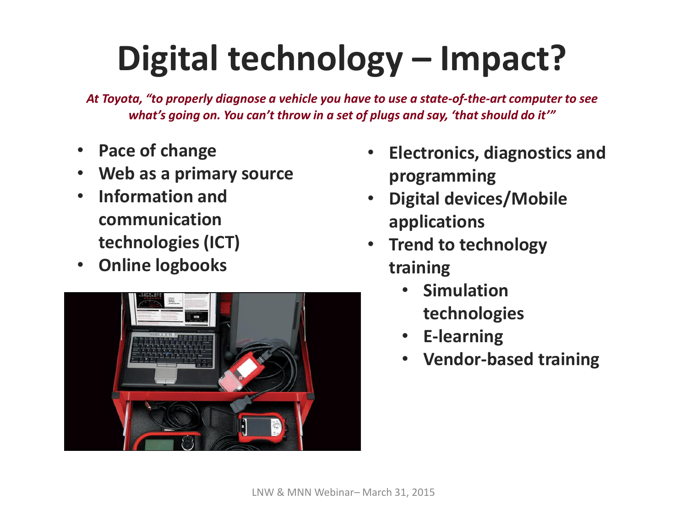# **Digital technology – Impact?**

*At Toyota, "to properly diagnose a vehicle you have to use a state-of-the-art computer to see what's going on. You can't throw in a set of plugs and say, 'that should do it'"*

- **Pace of change**
- **Web as a primary source**
- **Information and communication technologies (ICT)**
- **Online logbooks**



- **Electronics, diagnostics and programming**
- **Digital devices/Mobile applications**
- **Trend to technology training**
	- **Simulation technologies**
	- **E-learning**
	- **Vendor-based training**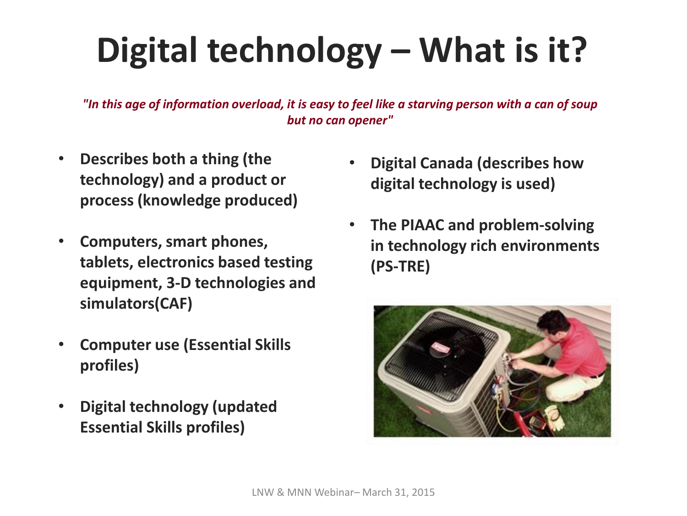# **Digital technology – What is it?**

*"In this age of information overload, it is easy to feel like a starving person with a can of soup but no can opener"*

- **Describes both a thing (the technology) and a product or process (knowledge produced)**
- **Computers, smart phones, tablets, electronics based testing equipment, 3-D technologies and simulators(CAF)**
- **Computer use (Essential Skills profiles)**
- **Digital technology (updated Essential Skills profiles)**
- **Digital Canada (describes how digital technology is used)**
- **The PIAAC and problem-solving in technology rich environments (PS-TRE)**

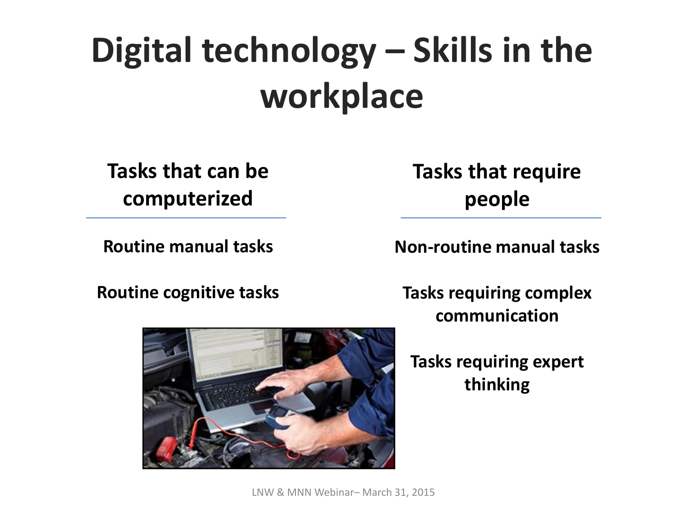# **Digital technology – Skills in the workplace**

**Tasks that can be computerized**

**Routine manual tasks**

**Tasks that require people**

**Non-routine manual tasks**

**Routine cognitive tasks**

**Tasks requiring complex communication**

### **Tasks requiring expert thinking**



LNW & MNN Webinar– March 31, 2015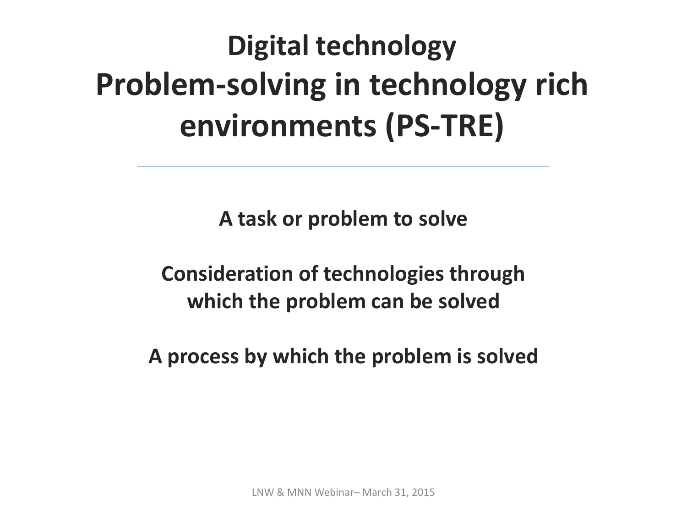## **Digital technology Problem-solving in technology rich environments (PS-TRE)**

**A task or problem to solve**

**Consideration of technologies through which the problem can be solved**

**A process by which the problem is solved**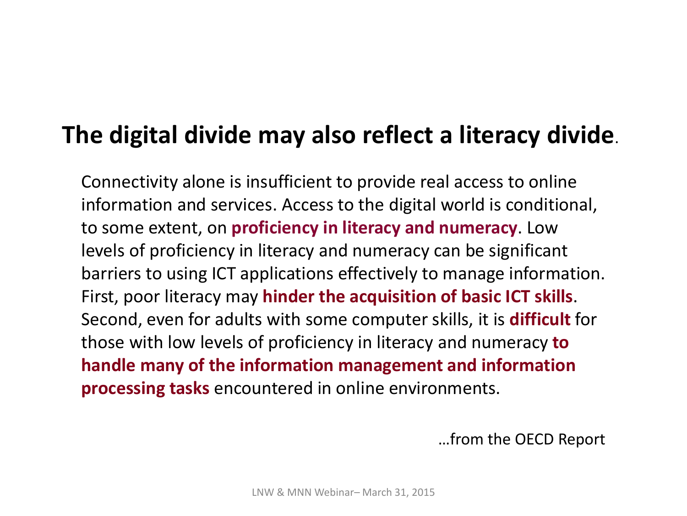### **The digital divide may also reflect a literacy divide**.

Connectivity alone is insufficient to provide real access to online information and services. Access to the digital world is conditional, to some extent, on **proficiency in literacy and numeracy**. Low levels of proficiency in literacy and numeracy can be significant barriers to using ICT applications effectively to manage information. First, poor literacy may **hinder the acquisition of basic ICT skills**. Second, even for adults with some computer skills, it is **difficult** for those with low levels of proficiency in literacy and numeracy **to handle many of the information management and information processing tasks** encountered in online environments.

…from the OECD Report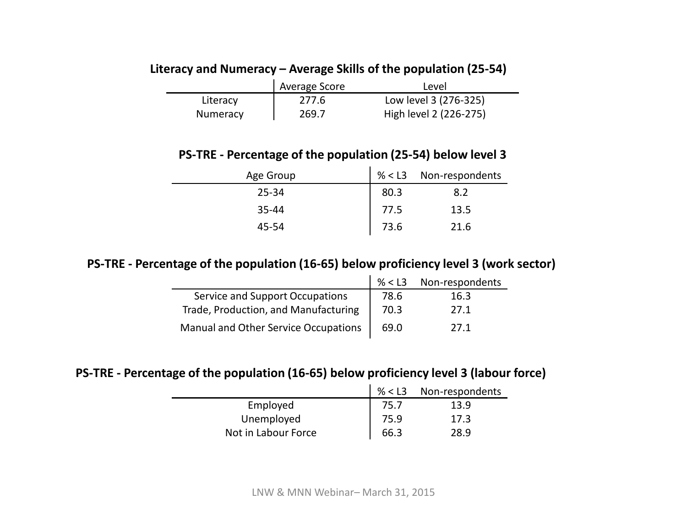#### **Literacy and Numeracy – Average Skills of the population (25-54)**

|          | Average Score | Level                  |
|----------|---------------|------------------------|
| Literacy | 277.6         | Low level 3 (276-325)  |
| Numeracy | 269.7         | High level 2 (226-275) |

#### **PS-TRE - Percentage of the population (25-54) below level 3**

| Age Group |      | % < L3 Non-respondents |
|-----------|------|------------------------|
| $25 - 34$ | 80.3 | 8.2                    |
| 35-44     | 77.5 | 13.5                   |
| 45-54     | 73.6 | 21.6                   |

#### **PS-TRE - Percentage of the population (16-65) below proficiency level 3 (work sector)**

|                                      |      | % < L3 Non-respondents |
|--------------------------------------|------|------------------------|
| Service and Support Occupations      | 78.6 | 16.3                   |
| Trade, Production, and Manufacturing | 70.3 | 27.1                   |
| Manual and Other Service Occupations | 69.0 | 27 1                   |

#### **PS-TRE - Percentage of the population (16-65) below proficiency level 3 (labour force)**

|                     | % $<$ L3 | Non-respondents |
|---------------------|----------|-----------------|
| Employed            | 75.7     | 13.9            |
| Unemployed          | 75.9     | 17.3            |
| Not in Labour Force | 66.3     | 28.9            |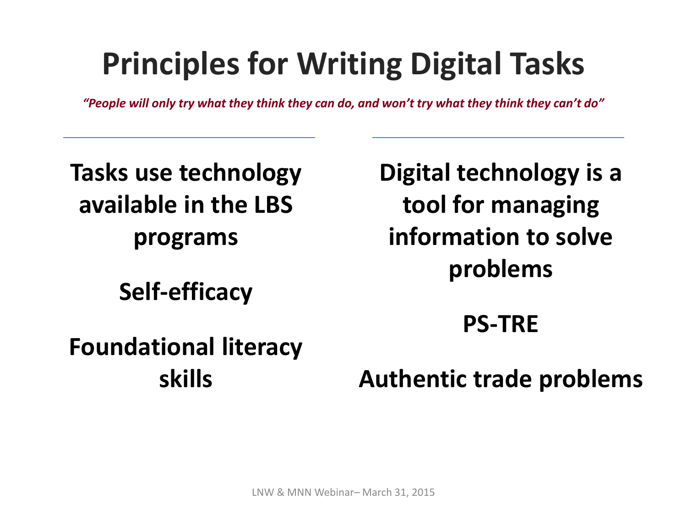## **Principles for Writing Digital Tasks**

*"People will only try what they think they can do, and won't try what they think they can't do"*

**Tasks use technology available in the LBS programs**

**Self-efficacy**

**Digital technology is a tool for managing information to solve problems**

**PS-TRE**

**Foundational literacy skills**

**Authentic trade problems**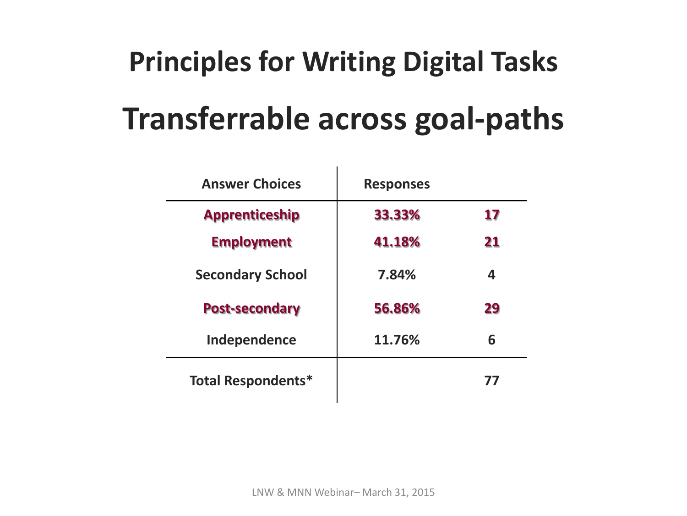## **Principles for Writing Digital Tasks**

## **Transferrable across goal-paths**

| <b>Answer Choices</b>     | <b>Responses</b> |    |
|---------------------------|------------------|----|
| <b>Apprenticeship</b>     | 33.33%           | 17 |
| <b>Employment</b>         | 41.18%           | 21 |
| <b>Secondary School</b>   | 7.84%            | 4  |
| <b>Post-secondary</b>     | 56.86%           | 29 |
| Independence              | 11.76%           | 6  |
| <b>Total Respondents*</b> |                  | 77 |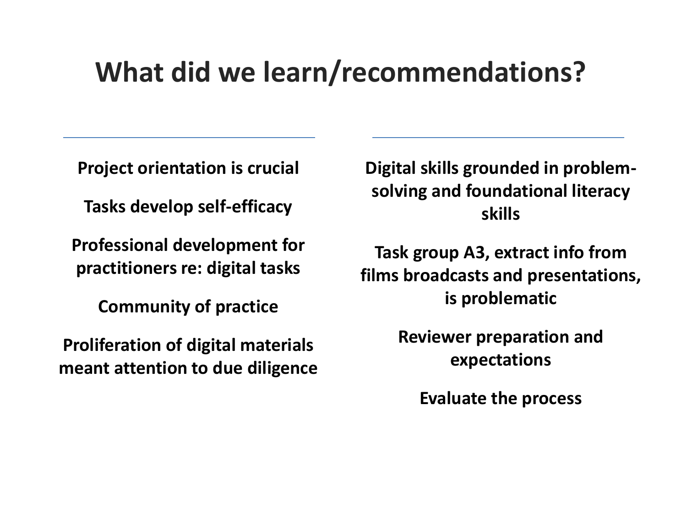## **What did we learn/recommendations?**

**Project orientation is crucial**

**Tasks develop self-efficacy** 

**Professional development for practitioners re: digital tasks**

**Community of practice**

**Proliferation of digital materials meant attention to due diligence** **Digital skills grounded in problemsolving and foundational literacy skills**

**Task group A3, extract info from films broadcasts and presentations, is problematic**

> **Reviewer preparation and expectations**

> > **Evaluate the process**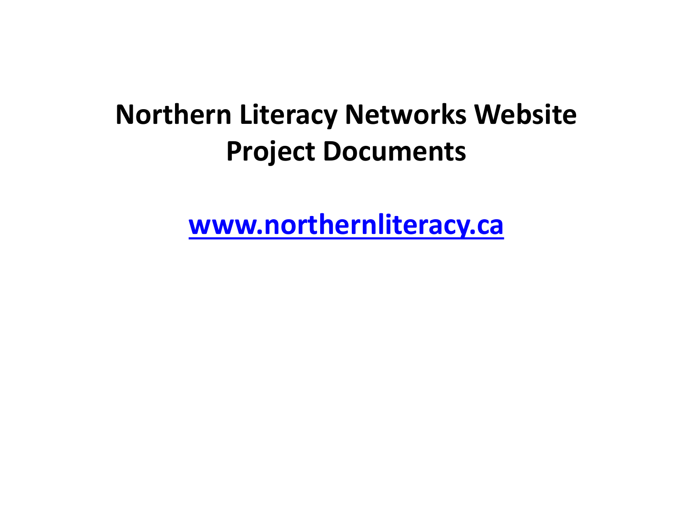## **Northern Literacy Networks Website Project Documents**

**[www.northernliteracy.ca](http://www.northernliteracy.ca/)**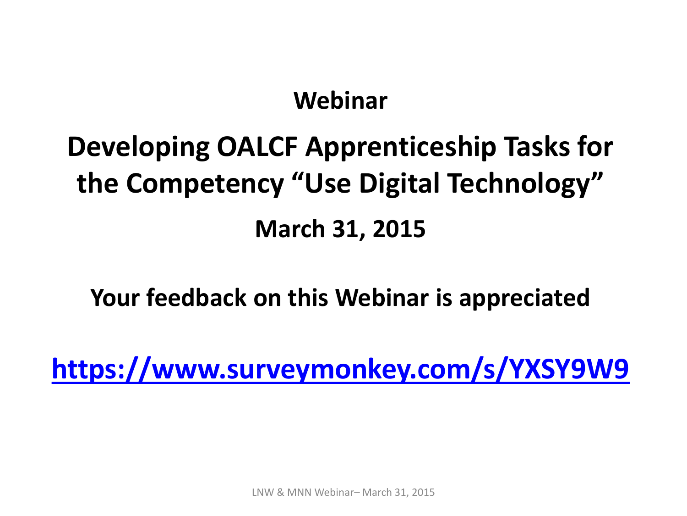### **Webinar**

## **Developing OALCF Apprenticeship Tasks for the Competency "Use Digital Technology" March [31](https://www.surveymonkey.com/s/YXSY9W9), 2015**

**Your feedback on this Webinar is appreciated**

**<https://www.surveymonkey.com/s/YXSY9W9>**